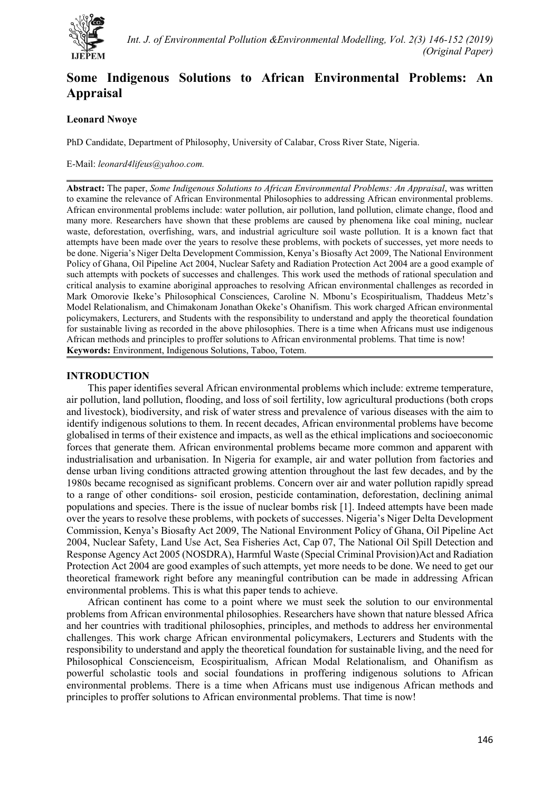

# **Some Indigenous Solutions to African Environmental Problems: An Appraisal**

# **Leonard Nwoye**

PhD Candidate, Department of Philosophy, University of Calabar, Cross River State, Nigeria.

E-Mail: *leonard4lifeus@yahoo.com.*

**Abstract:** The paper, *Some Indigenous Solutions to African Environmental Problems: An Appraisal*, was written to examine the relevance of African Environmental Philosophies to addressing African environmental problems. African environmental problems include: water pollution, air pollution, land pollution, climate change, flood and many more. Researchers have shown that these problems are caused by phenomena like coal mining, nuclear waste, deforestation, overfishing, wars, and industrial agriculture soil waste pollution. It is a known fact that attempts have been made over the years to resolve these problems, with pockets of successes, yet more needs to be done. Nigeria's Niger Delta Development Commission, Kenya's Biosafty Act 2009, The National Environment Policy of Ghana, Oil Pipeline Act 2004, Nuclear Safety and Radiation Protection Act 2004 are a good example of such attempts with pockets of successes and challenges. This work used the methods of rational speculation and critical analysis to examine aboriginal approaches to resolving African environmental challenges as recorded in Mark Omorovie Ikeke's Philosophical Consciences, Caroline N. Mbonu's Ecospiritualism, Thaddeus Metz's Model Relationalism, and Chimakonam Jonathan Okeke's Ohanifism. This work charged African environmental policymakers, Lecturers, and Students with the responsibility to understand and apply the theoretical foundation for sustainable living as recorded in the above philosophies. There is a time when Africans must use indigenous African methods and principles to proffer solutions to African environmental problems. That time is now! **Keywords:** Environment, Indigenous Solutions, Taboo, Totem.

# **INTRODUCTION**

This paper identifies several African environmental problems which include: extreme temperature, air pollution, land pollution, flooding, and loss of soil fertility, low agricultural productions (both crops and livestock), biodiversity, and risk of water stress and prevalence of various diseases with the aim to identify indigenous solutions to them. In recent decades, African environmental problems have become globalised in terms of their existence and impacts, as well as the ethical implications and socioeconomic forces that generate them. African environmental problems became more common and apparent with industrialisation and urbanisation. In Nigeria for example, air and water pollution from factories and dense urban living conditions attracted growing attention throughout the last few decades, and by the 1980s became recognised as significant problems. Concern over air and water pollution rapidly spread to a range of other conditions- soil erosion, pesticide contamination, deforestation, declining animal populations and species. There is the issue of nuclear bombs risk [1]. Indeed attempts have been made over the years to resolve these problems, with pockets of successes. Nigeria's Niger Delta Development Commission, Kenya's Biosafty Act 2009, The National Environment Policy of Ghana, Oil Pipeline Act 2004, Nuclear Safety, Land Use Act, Sea Fisheries Act, Cap 07, The National Oil Spill Detection and Response Agency Act 2005 (NOSDRA), Harmful Waste (Special Criminal Provision)Act and Radiation Protection Act 2004 are good examples of such attempts, yet more needs to be done. We need to get our theoretical framework right before any meaningful contribution can be made in addressing African environmental problems. This is what this paper tends to achieve.

African continent has come to a point where we must seek the solution to our environmental problems from African environmental philosophies. Researchers have shown that nature blessed Africa and her countries with traditional philosophies, principles, and methods to address her environmental challenges. This work charge African environmental policymakers, Lecturers and Students with the responsibility to understand and apply the theoretical foundation for sustainable living, and the need for Philosophical Conscienceism, Ecospiritualism, African Modal Relationalism, and Ohanifism as powerful scholastic tools and social foundations in proffering indigenous solutions to African environmental problems. There is a time when Africans must use indigenous African methods and principles to proffer solutions to African environmental problems. That time is now!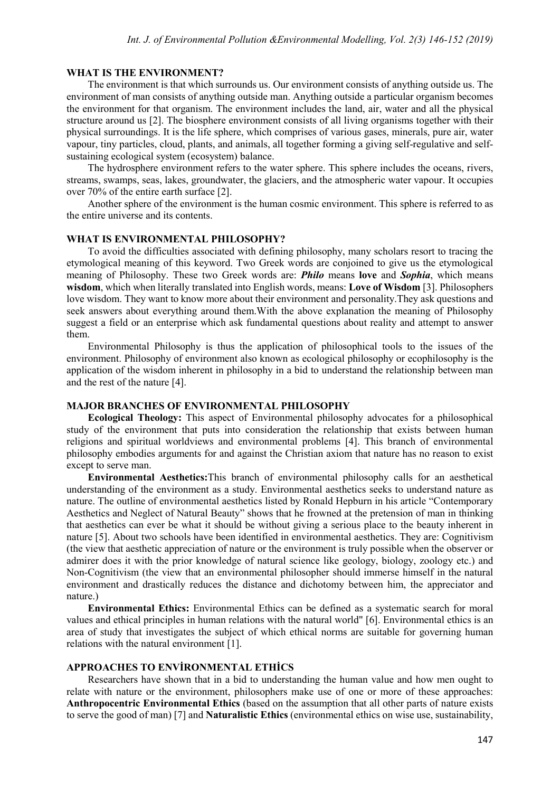## **WHAT IS THE ENVIRONMENT?**

The environment is that which surrounds us. Our environment consists of anything outside us. The environment of man consists of anything outside man. Anything outside a particular organism becomes the environment for that organism. The environment includes the land, air, water and all the physical structure around us [2]. The biosphere environment consists of all living organisms together with their physical surroundings. It is the life sphere, which comprises of various gases, minerals, pure air, water vapour, tiny particles, cloud, plants, and animals, all together forming a giving self-regulative and selfsustaining ecological system (ecosystem) balance.

The hydrosphere environment refers to the water sphere. This sphere includes the oceans, rivers, streams, swamps, seas, lakes, groundwater, the glaciers, and the atmospheric water vapour. It occupies over 70% of the entire earth surface [2].

Another sphere of the environment is the human cosmic environment. This sphere is referred to as the entire universe and its contents.

#### **WHAT IS ENVIRONMENTAL PHILOSOPHY?**

To avoid the difficulties associated with defining philosophy, many scholars resort to tracing the etymological meaning of this keyword. Two Greek words are conjoined to give us the etymological meaning of Philosophy. These two Greek words are: *Philo* means **love** and *Sophia*, which means **wisdom**, which when literally translated into English words, means: **Love of Wisdom** [3]. Philosophers love wisdom. They want to know more about their environment and personality.They ask questions and seek answers about everything around them.With the above explanation the meaning of Philosophy suggest a field or an enterprise which ask fundamental questions about reality and attempt to answer them.

Environmental Philosophy is thus the application of philosophical tools to the issues of the environment. Philosophy of environment also known as ecological philosophy or ecophilosophy is the application of the wisdom inherent in philosophy in a bid to understand the relationship between man and the rest of the nature [4].

## **MAJOR BRANCHES OF ENVIRONMENTAL PHILOSOPHY**

**Ecological Theology:** This aspect of Environmental philosophy advocates for a philosophical study of the environment that puts into consideration the relationship that exists between human religions and spiritual worldviews and environmental problems [4]. This branch of environmental philosophy embodies arguments for and against the Christian axiom that nature has no reason to exist except to serve man.

**Environmental Aesthetics:**This branch of environmental philosophy calls for an aesthetical understanding of the environment as a study. Environmental aesthetics seeks to understand nature as nature. The outline of environmental aesthetics listed by Ronald Hepburn in his article "Contemporary Aesthetics and Neglect of Natural Beauty" shows that he frowned at the pretension of man in thinking that aesthetics can ever be what it should be without giving a serious place to the beauty inherent in nature [5]. About two schools have been identified in environmental aesthetics. They are: Cognitivism (the view that aesthetic appreciation of nature or the environment is truly possible when the observer or admirer does it with the prior knowledge of natural science like geology, biology, zoology etc.) and Non-Cognitivism (the view that an environmental philosopher should immerse himself in the natural environment and drastically reduces the distance and dichotomy between him, the appreciator and nature.)

**Environmental Ethics:** Environmental Ethics can be defined as a systematic search for moral values and ethical principles in human relations with the natural world" [6]. Environmental ethics is an area of study that investigates the subject of which ethical norms are suitable for governing human relations with the natural environment [1].

### **APPROACHES TO ENVİRONMENTAL ETHİCS**

Researchers have shown that in a bid to understanding the human value and how men ought to relate with nature or the environment, philosophers make use of one or more of these approaches: **Anthropocentric Environmental Ethics** (based on the assumption that all other parts of nature exists to serve the good of man) [7] and **Naturalistic Ethics** (environmental ethics on wise use, sustainability,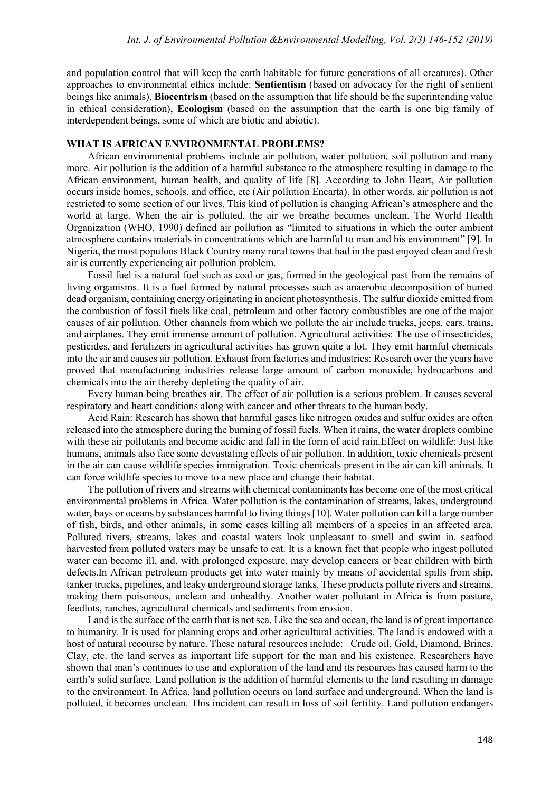and population control that will keep the earth habitable for future generations of all creatures). Other approaches to environmental ethics include: **Sentientism** (based on advocacy for the right of sentient beings like animals), **Biocentrism** (based on the assumption that life should be the superintending value in ethical consideration), **Ecologism** (based on the assumption that the earth is one big family of interdependent beings, some of which are biotic and abiotic).

### **WHAT IS AFRICAN ENVIRONMENTAL PROBLEMS?**

African environmental problems include air pollution, water pollution, soil pollution and many more. Air pollution is the addition of a harmful substance to the atmosphere resulting in damage to the African environment, human health, and quality of life [8]. According to John Heart, Air pollution occurs inside homes, schools, and office, etc (Air pollution Encarta). In other words, air pollution is not restricted to some section of our lives. This kind of pollution is changing African's atmosphere and the world at large. When the air is polluted, the air we breathe becomes unclean. The World Health Organization (WHO, 1990) defined air pollution as "limited to situations in which the outer ambient atmosphere contains materials in concentrations which are harmful to man and his environment" [9]. In Nigeria, the most populous Black Country many rural towns that had in the past enjoyed clean and fresh air is currently experiencing air pollution problem.

Fossil fuel is a natural fuel such as coal or gas, formed in the geological past from the remains of living organisms. It is a fuel formed by natural processes such as anaerobic decomposition of buried dead organism, containing energy originating in ancient photosynthesis. The sulfur dioxide emitted from the combustion of fossil fuels like coal, petroleum and other factory combustibles are one of the major causes of air pollution. Other channels from which we pollute the air include trucks, jeeps, cars, trains, and airplanes. They emit immense amount of pollution. Agricultural activities: The use of insecticides, pesticides, and fertilizers in agricultural activities has grown quite a lot. They emit harmful chemicals into the air and causes air pollution. Exhaust from factories and industries: Research over the years have proved that manufacturing industries release large amount of carbon monoxide, hydrocarbons and chemicals into the air thereby depleting the quality of air.

Every human being breathes air. The effect of air pollution is a serious problem. It causes several respiratory and heart conditions along with cancer and other threats to the human body.

Acid Rain: Research has shown that harmful gases like nitrogen oxides and sulfur oxides are often released into the atmosphere during the burning of fossil fuels. When it rains, the water droplets combine with these air pollutants and become acidic and fall in the form of acid rain.Effect on wildlife: Just like humans, animals also face some devastating effects of air pollution. In addition, toxic chemicals present in the air can cause wildlife species immigration. Toxic chemicals present in the air can kill animals. It can force wildlife species to move to a new place and change their habitat.

The pollution of rivers and streams with chemical contaminants has become one of the most critical environmental problems in Africa. Water pollution is the contamination of streams, lakes, underground water, bays or oceans by substances harmful to living things [10]. Water pollution can kill a large number of fish, birds, and other animals, in some cases killing all members of a species in an affected area. Polluted rivers, streams, lakes and coastal waters look unpleasant to smell and swim in. seafood harvested from polluted waters may be unsafe to eat. It is a known fact that people who ingest polluted water can become ill, and, with prolonged exposure, may develop cancers or bear children with birth defects.In African petroleum products get into water mainly by means of accidental spills from ship, tanker trucks, pipelines, and leaky underground storage tanks. These products pollute rivers and streams, making them poisonous, unclean and unhealthy. Another water pollutant in Africa is from pasture, feedlots, ranches, agricultural chemicals and sediments from erosion.

Land is the surface of the earth that is not sea. Like the sea and ocean, the land is of great importance to humanity. It is used for planning crops and other agricultural activities. The land is endowed with a host of natural recourse by nature. These natural resources include: Crude oil, Gold, Diamond, Brines, Clay, etc. the land serves as important life support for the man and his existence. Researchers have shown that man's continues to use and exploration of the land and its resources has caused harm to the earth's solid surface. Land pollution is the addition of harmful elements to the land resulting in damage to the environment. In Africa, land pollution occurs on land surface and underground. When the land is polluted, it becomes unclean. This incident can result in loss of soil fertility. Land pollution endangers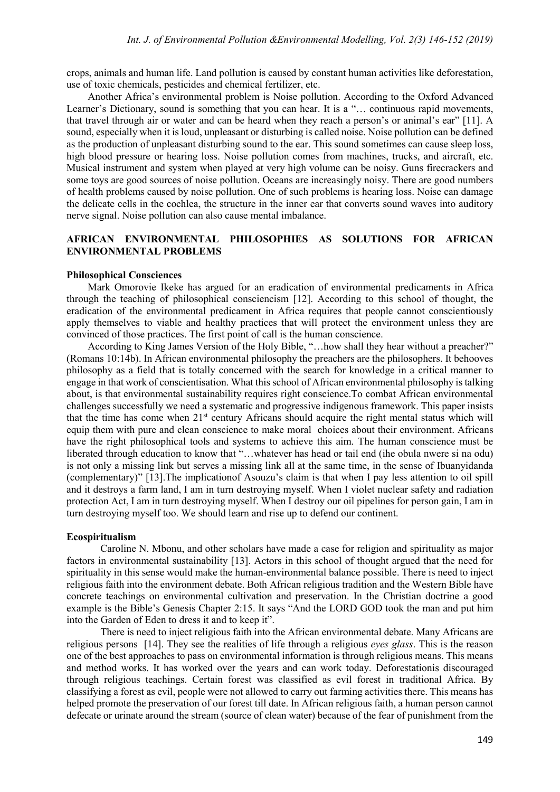crops, animals and human life. Land pollution is caused by constant human activities like deforestation, use of toxic chemicals, pesticides and chemical fertilizer, etc.

Another Africa's environmental problem is Noise pollution. According to the Oxford Advanced Learner's Dictionary, sound is something that you can hear. It is a "... continuous rapid movements, that travel through air or water and can be heard when they reach a person's or animal's ear" [11]. A sound, especially when it is loud, unpleasant or disturbing is called noise. Noise pollution can be defined as the production of unpleasant disturbing sound to the ear. This sound sometimes can cause sleep loss, high blood pressure or hearing loss. Noise pollution comes from machines, trucks, and aircraft, etc. Musical instrument and system when played at very high volume can be noisy. Guns firecrackers and some toys are good sources of noise pollution. Oceans are increasingly noisy. There are good numbers of health problems caused by noise pollution. One of such problems is hearing loss. Noise can damage the delicate cells in the cochlea, the structure in the inner ear that converts sound waves into auditory nerve signal. Noise pollution can also cause mental imbalance.

# **AFRICAN ENVIRONMENTAL PHILOSOPHIES AS SOLUTIONS FOR AFRICAN ENVIRONMENTAL PROBLEMS**

## **Philosophical Consciences**

Mark Omorovie Ikeke has argued for an eradication of environmental predicaments in Africa through the teaching of philosophical consciencism [12]. According to this school of thought, the eradication of the environmental predicament in Africa requires that people cannot conscientiously apply themselves to viable and healthy practices that will protect the environment unless they are convinced of those practices. The first point of call is the human conscience.

According to King James Version of the Holy Bible, "…how shall they hear without a preacher?" (Romans 10:14b). In African environmental philosophy the preachers are the philosophers. It behooves philosophy as a field that is totally concerned with the search for knowledge in a critical manner to engage in that work of conscientisation. What this school of African environmental philosophy is talking about, is that environmental sustainability requires right conscience.To combat African environmental challenges successfully we need a systematic and progressive indigenous framework. This paper insists that the time has come when 21<sup>st</sup> century Africans should acquire the right mental status which will equip them with pure and clean conscience to make moral choices about their environment. Africans have the right philosophical tools and systems to achieve this aim. The human conscience must be liberated through education to know that "…whatever has head or tail end (ihe obula nwere si na odu) is not only a missing link but serves a missing link all at the same time, in the sense of Ibuanyidanda (complementary)" [13].The implicationof Asouzu's claim is that when I pay less attention to oil spill and it destroys a farm land, I am in turn destroying myself. When I violet nuclear safety and radiation protection Act, I am in turn destroying myself. When I destroy our oil pipelines for person gain, I am in turn destroying myself too. We should learn and rise up to defend our continent.

#### **Ecospiritualism**

Caroline N. Mbonu, and other scholars have made a case for religion and spirituality as major factors in environmental sustainability [13]. Actors in this school of thought argued that the need for spirituality in this sense would make the human-environmental balance possible. There is need to inject religious faith into the environment debate. Both African religious tradition and the Western Bible have concrete teachings on environmental cultivation and preservation. In the Christian doctrine a good example is the Bible's Genesis Chapter 2:15. It says "And the LORD GOD took the man and put him into the Garden of Eden to dress it and to keep it".

There is need to inject religious faith into the African environmental debate. Many Africans are religious persons [14]. They see the realities of life through a religious *eyes glass*. This is the reason one of the best approaches to pass on environmental information is through religious means. This means and method works. It has worked over the years and can work today. Deforestationis discouraged through religious teachings. Certain forest was classified as evil forest in traditional Africa. By classifying a forest as evil, people were not allowed to carry out farming activities there. This means has helped promote the preservation of our forest till date. In African religious faith, a human person cannot defecate or urinate around the stream (source of clean water) because of the fear of punishment from the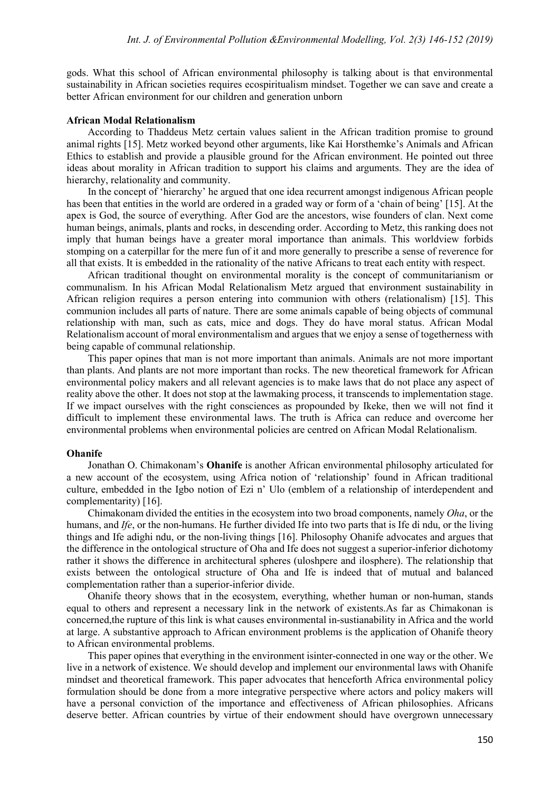gods. What this school of African environmental philosophy is talking about is that environmental sustainability in African societies requires ecospiritualism mindset. Together we can save and create a better African environment for our children and generation unborn

## **African Modal Relationalism**

According to Thaddeus Metz certain values salient in the African tradition promise to ground animal rights [15]. Metz worked beyond other arguments, like Kai Horsthemke's Animals and African Ethics to establish and provide a plausible ground for the African environment. He pointed out three ideas about morality in African tradition to support his claims and arguments. They are the idea of hierarchy, relationality and community.

In the concept of 'hierarchy' he argued that one idea recurrent amongst indigenous African people has been that entities in the world are ordered in a graded way or form of a 'chain of being' [15]. At the apex is God, the source of everything. After God are the ancestors, wise founders of clan. Next come human beings, animals, plants and rocks, in descending order. According to Metz, this ranking does not imply that human beings have a greater moral importance than animals. This worldview forbids stomping on a caterpillar for the mere fun of it and more generally to prescribe a sense of reverence for all that exists. It is embedded in the rationality of the native Africans to treat each entity with respect.

African traditional thought on environmental morality is the concept of communitarianism or communalism. In his African Modal Relationalism Metz argued that environment sustainability in African religion requires a person entering into communion with others (relationalism) [15]. This communion includes all parts of nature. There are some animals capable of being objects of communal relationship with man, such as cats, mice and dogs. They do have moral status. African Modal Relationalism account of moral environmentalism and argues that we enjoy a sense of togetherness with being capable of communal relationship.

This paper opines that man is not more important than animals. Animals are not more important than plants. And plants are not more important than rocks. The new theoretical framework for African environmental policy makers and all relevant agencies is to make laws that do not place any aspect of reality above the other. It does not stop at the lawmaking process, it transcends to implementation stage. If we impact ourselves with the right consciences as propounded by Ikeke, then we will not find it difficult to implement these environmental laws. The truth is Africa can reduce and overcome her environmental problems when environmental policies are centred on African Modal Relationalism.

#### **Ohanife**

Jonathan O. Chimakonam's **Ohanife** is another African environmental philosophy articulated for a new account of the ecosystem, using Africa notion of 'relationship' found in African traditional culture, embedded in the Igbo notion of Ezi n' Ulo (emblem of a relationship of interdependent and complementarity) [16].

Chimakonam divided the entities in the ecosystem into two broad components, namely *Oha*, or the humans, and *Ife*, or the non-humans. He further divided Ife into two parts that is Ife di ndu, or the living things and Ife adighi ndu, or the non-living things [16]. Philosophy Ohanife advocates and argues that the difference in the ontological structure of Oha and Ife does not suggest a superior-inferior dichotomy rather it shows the difference in architectural spheres (uloshpere and ilosphere). The relationship that exists between the ontological structure of Oha and Ife is indeed that of mutual and balanced complementation rather than a superior-inferior divide.

Ohanife theory shows that in the ecosystem, everything, whether human or non-human, stands equal to others and represent a necessary link in the network of existents.As far as Chimakonan is concerned,the rupture of this link is what causes environmental in-sustianability in Africa and the world at large. A substantive approach to African environment problems is the application of Ohanife theory to African environmental problems.

This paper opines that everything in the environment isinter-connected in one way or the other. We live in a network of existence. We should develop and implement our environmental laws with Ohanife mindset and theoretical framework. This paper advocates that henceforth Africa environmental policy formulation should be done from a more integrative perspective where actors and policy makers will have a personal conviction of the importance and effectiveness of African philosophies. Africans deserve better. African countries by virtue of their endowment should have overgrown unnecessary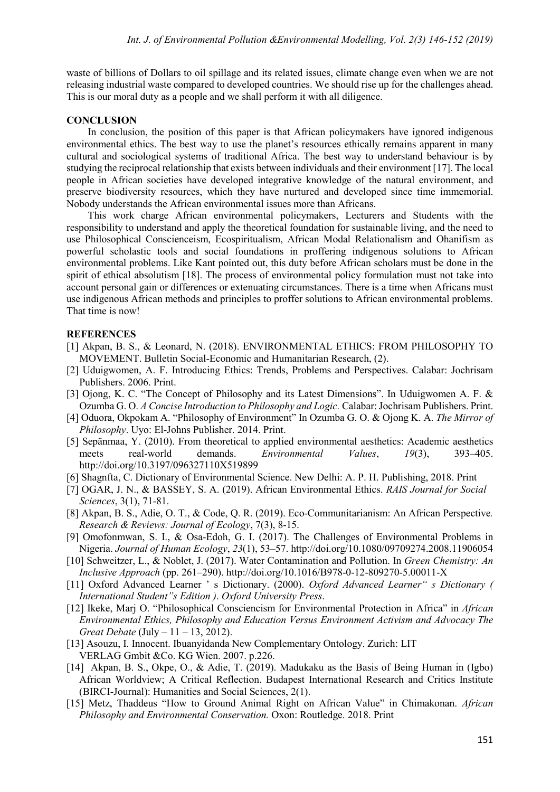waste of billions of Dollars to oil spillage and its related issues, climate change even when we are not releasing industrial waste compared to developed countries. We should rise up for the challenges ahead. This is our moral duty as a people and we shall perform it with all diligence.

# **CONCLUSION**

In conclusion, the position of this paper is that African policymakers have ignored indigenous environmental ethics. The best way to use the planet's resources ethically remains apparent in many cultural and sociological systems of traditional Africa. The best way to understand behaviour is by studying the reciprocal relationship that exists between individuals and their environment [17]. The local people in African societies have developed integrative knowledge of the natural environment, and preserve biodiversity resources, which they have nurtured and developed since time immemorial. Nobody understands the African environmental issues more than Africans.

This work charge African environmental policymakers, Lecturers and Students with the responsibility to understand and apply the theoretical foundation for sustainable living, and the need to use Philosophical Conscienceism, Ecospiritualism, African Modal Relationalism and Ohanifism as powerful scholastic tools and social foundations in proffering indigenous solutions to African environmental problems. Like Kant pointed out, this duty before African scholars must be done in the spirit of ethical absolutism [18]. The process of environmental policy formulation must not take into account personal gain or differences or extenuating circumstances. There is a time when Africans must use indigenous African methods and principles to proffer solutions to African environmental problems. That time is now!

## **REFERENCES**

- [1] Akpan, B. S., & Leonard, N. (2018). ENVIRONMENTAL ETHICS: FROM PHILOSOPHY TO MOVEMENT. Bulletin Social-Economic and Humanitarian Research, (2).
- [2] Uduigwomen, A. F. Introducing Ethics: Trends, Problems and Perspectives. Calabar: Jochrisam Publishers. 2006. Print.
- [3] Ojong, K. C. "The Concept of Philosophy and its Latest Dimensions". In Uduigwomen A. F. & Ozumba G. O. *A Concise Introduction to Philosophy and Logic.* Calabar: Jochrisam Publishers. Print.
- [4] Oduora, Okpokam A. "Philosophy of Environment" In Ozumba G. O. & Ojong K. A. *The Mirror of Philosophy*. Uyo: El-Johns Publisher. 2014. Print.
- [5] Sepänmaa, Y. (2010). From theoretical to applied environmental aesthetics: Academic aesthetics meets real-world demands. *Environmental Values*, *19*(3), 393–405. http://doi.org/10.3197/096327110X519899
- [6] Shagnfta, C. Dictionary of Environmental Science. New Delhi: A. P. H. Publishing, 2018. Print
- [7] OGAR, J. N., & BASSEY, S. A. (2019). African Environmental Ethics. *RAIS Journal for Social Sciences*, 3(1), 71-81.
- [8] Akpan, B. S., Adie, O. T., & Code, Q. R. (2019). Eco-Communitarianism: An African Perspective*. Research & Reviews: Journal of Ecology*, 7(3), 8-15.
- [9] Omofonmwan, S. I., & Osa-Edoh, G. I. (2017). The Challenges of Environmental Problems in Nigeria. *Journal of Human Ecology*, *23*(1), 53–57. http://doi.org/10.1080/09709274.2008.11906054
- [10] Schweitzer, L., & Noblet, J. (2017). Water Contamination and Pollution. In *Green Chemistry: An Inclusive Approach* (pp. 261–290). http://doi.org/10.1016/B978-0-12-809270-5.00011-X
- [11] Oxford Advanced Learner ' s Dictionary. (2000). *Oxford Advanced Learner" s Dictionary ( International Student"s Edition )*. *Oxford University Press*.
- [12] Ikeke, Marj O. "Philosophical Consciencism for Environmental Protection in Africa" in *African Environmental Ethics, Philosophy and Education Versus Environment Activism and Advocacy The Great Debate* (July – 11 – 13, 2012).
- [13] Asouzu, I. Innocent. Ibuanyidanda New Complementary Ontology. Zurich: LIT VERLAG Gmbit &Co. KG Wien. 2007. p.226.
- [14] Akpan, B. S., Okpe, O., & Adie, T. (2019). Madukaku as the Basis of Being Human in (Igbo) African Worldview; A Critical Reflection. Budapest International Research and Critics Institute (BIRCI-Journal): Humanities and Social Sciences, 2(1).
- [15] Metz, Thaddeus "How to Ground Animal Right on African Value" in Chimakonan. *African Philosophy and Environmental Conservation.* Oxon: Routledge. 2018. Print